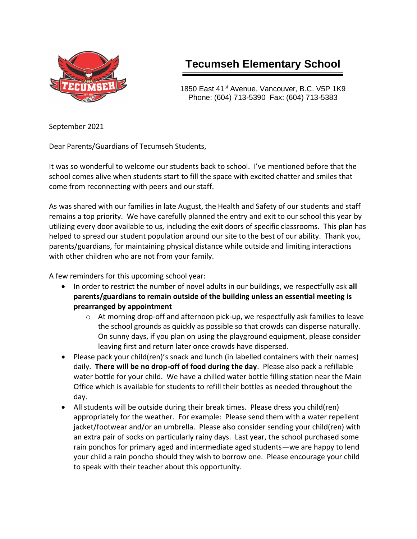

# **Tecumseh Elementary School**

1850 East 41<sup>st</sup> Avenue, Vancouver, B.C. V5P 1K9 Phone: (604) 713-5390 Fax: (604) 713-5383

September 2021

Dear Parents/Guardians of Tecumseh Students,

It was so wonderful to welcome our students back to school. I've mentioned before that the school comes alive when students start to fill the space with excited chatter and smiles that come from reconnecting with peers and our staff.

As was shared with our families in late August, the Health and Safety of our students and staff remains a top priority. We have carefully planned the entry and exit to our school this year by utilizing every door available to us, including the exit doors of specific classrooms. This plan has helped to spread our student population around our site to the best of our ability. Thank you, parents/guardians, for maintaining physical distance while outside and limiting interactions with other children who are not from your family.

A few reminders for this upcoming school year:

- In order to restrict the number of novel adults in our buildings, we respectfully ask **all parents/guardians to remain outside of the building unless an essential meeting is prearranged by appointment**
	- $\circ$  At morning drop-off and afternoon pick-up, we respectfully ask families to leave the school grounds as quickly as possible so that crowds can disperse naturally. On sunny days, if you plan on using the playground equipment, please consider leaving first and return later once crowds have dispersed.
- Please pack your child(ren)'s snack and lunch (in labelled containers with their names) daily. **There will be no drop-off of food during the day**. Please also pack a refillable water bottle for your child. We have a chilled water bottle filling station near the Main Office which is available for students to refill their bottles as needed throughout the day.
- All students will be outside during their break times. Please dress you child(ren) appropriately for the weather. For example: Please send them with a water repellent jacket/footwear and/or an umbrella. Please also consider sending your child(ren) with an extra pair of socks on particularly rainy days. Last year, the school purchased some rain ponchos for primary aged and intermediate aged students—we are happy to lend your child a rain poncho should they wish to borrow one. Please encourage your child to speak with their teacher about this opportunity.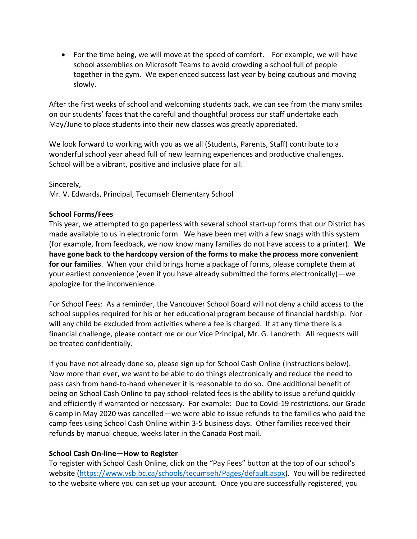• For the time being, we will move at the speed of comfort. For example, we will have school assemblies on Microsoft Teams to avoid crowding a school full of people together in the gym. We experienced success last year by being cautious and moving slowly.

After the first weeks of school and welcoming students back, we can see from the many smiles on our students' faces that the careful and thoughtful process our staff undertake each May/June to place students into their new classes was greatly appreciated.

We look forward to working with you as we all (Students, Parents, Staff) contribute to a wonderful school year ahead full of new learning experiences and productive challenges. School will be a vibrant, positive and inclusive place for all.

Sincerely,

Mr. V. Edwards, Principal, Tecumseh Elementary School

#### **School Forms/Fees**

This year, we attempted to go paperless with several school start-up forms that our District has made available to us in electronic form. We have been met with a few snags with this system (for example, from feedback, we now know many families do not have access to a printer). **We have gone back to the hardcopy version of the forms to make the process more convenient for our families**. When your child brings home a package of forms, please complete them at your earliest convenience (even if you have already submitted the forms electronically)—we apologize for the inconvenience.

For School Fees: As a reminder, the Vancouver School Board will not deny a child access to the school supplies required for his or her educational program because of financial hardship. Nor will any child be excluded from activities where a fee is charged. If at any time there is a financial challenge, please contact me or our Vice Principal, Mr. G. Landreth. All requests will be treated confidentially.

If you have not already done so, please sign up for School Cash Online (instructions below). Now more than ever, we want to be able to do things electronically and reduce the need to pass cash from hand-to-hand whenever it is reasonable to do so. One additional benefit of being on School Cash Online to pay school-related fees is the ability to issue a refund quickly and efficiently if warranted or necessary. For example: Due to Covid-19 restrictions, our Grade 6 camp in May 2020 was cancelled—we were able to issue refunds to the families who paid the camp fees using School Cash Online within 3-5 business days. Other families received their refunds by manual cheque, weeks later in the Canada Post mail.

# **School Cash On-line—How to Register**

To register with School Cash Online, click on the "Pay Fees" button at the top of our school's website [\(https://www.vsb.bc.ca/schools/tecumseh/Pages/default.aspx\)](https://www.vsb.bc.ca/schools/tecumseh/Pages/default.aspx). You will be redirected to the website where you can set up your account. Once you are successfully registered, you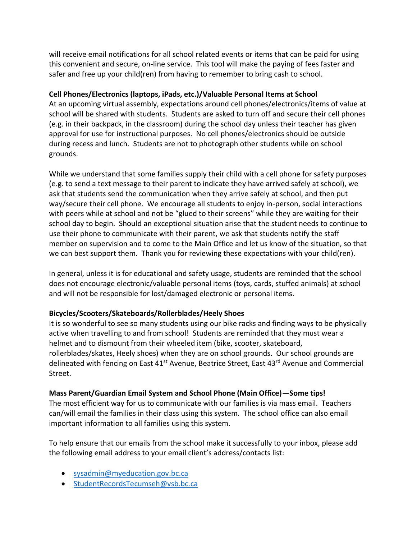will receive email notifications for all school related events or items that can be paid for using this convenient and secure, on-line service. This tool will make the paying of fees faster and safer and free up your child(ren) from having to remember to bring cash to school.

# **Cell Phones/Electronics (laptops, iPads, etc.)/Valuable Personal Items at School**

At an upcoming virtual assembly, expectations around cell phones/electronics/items of value at school will be shared with students. Students are asked to turn off and secure their cell phones (e.g. in their backpack, in the classroom) during the school day unless their teacher has given approval for use for instructional purposes. No cell phones/electronics should be outside during recess and lunch. Students are not to photograph other students while on school grounds.

While we understand that some families supply their child with a cell phone for safety purposes (e.g. to send a text message to their parent to indicate they have arrived safely at school), we ask that students send the communication when they arrive safely at school, and then put way/secure their cell phone. We encourage all students to enjoy in-person, social interactions with peers while at school and not be "glued to their screens" while they are waiting for their school day to begin. Should an exceptional situation arise that the student needs to continue to use their phone to communicate with their parent, we ask that students notify the staff member on supervision and to come to the Main Office and let us know of the situation, so that we can best support them. Thank you for reviewing these expectations with your child(ren).

In general, unless it is for educational and safety usage, students are reminded that the school does not encourage electronic/valuable personal items (toys, cards, stuffed animals) at school and will not be responsible for lost/damaged electronic or personal items.

# **Bicycles/Scooters/Skateboards/Rollerblades/Heely Shoes**

It is so wonderful to see so many students using our bike racks and finding ways to be physically active when travelling to and from school! Students are reminded that they must wear a helmet and to dismount from their wheeled item (bike, scooter, skateboard, rollerblades/skates, Heely shoes) when they are on school grounds. Our school grounds are delineated with fencing on East 41<sup>st</sup> Avenue, Beatrice Street, East 43<sup>rd</sup> Avenue and Commercial Street.

# **Mass Parent/Guardian Email System and School Phone (Main Office)—Some tips!**

The most efficient way for us to communicate with our families is via mass email. Teachers can/will email the families in their class using this system. The school office can also email important information to all families using this system.

To help ensure that our emails from the school make it successfully to your inbox, please add the following email address to your email client's address/contacts list:

- [sysadmin@myeducation.gov.bc.ca](mailto:sysadmin@myeducation.gov.bc.ca)
- [StudentRecordsTecumseh@vsb.bc.ca](mailto:StudentRecordsTecumseh@vsb.bc.ca)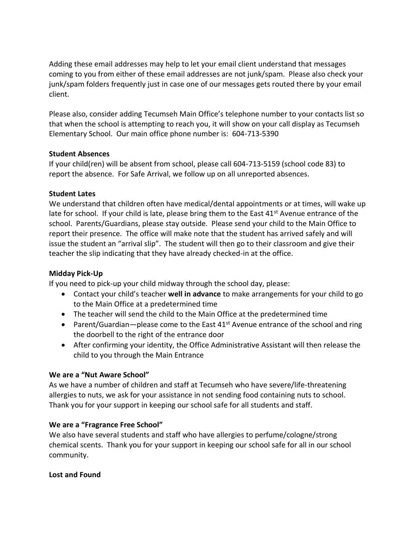Adding these email addresses may help to let your email client understand that messages coming to you from either of these email addresses are not junk/spam. Please also check your junk/spam folders frequently just in case one of our messages gets routed there by your email client.

Please also, consider adding Tecumseh Main Office's telephone number to your contacts list so that when the school is attempting to reach you, it will show on your call display as Tecumseh Elementary School. Our main office phone number is: 604-713-5390

#### **Student Absences**

If your child(ren) will be absent from school, please call 604-713-5159 (school code 83) to report the absence. For Safe Arrival, we follow up on all unreported absences.

#### **Student Lates**

We understand that children often have medical/dental appointments or at times, will wake up late for school. If your child is late, please bring them to the East 41<sup>st</sup> Avenue entrance of the school. Parents/Guardians, please stay outside. Please send your child to the Main Office to report their presence. The office will make note that the student has arrived safely and will issue the student an "arrival slip". The student will then go to their classroom and give their teacher the slip indicating that they have already checked-in at the office.

# **Midday Pick-Up**

If you need to pick-up your child midway through the school day, please:

- Contact your child's teacher **well in advance** to make arrangements for your child to go to the Main Office at a predetermined time
- The teacher will send the child to the Main Office at the predetermined time
- Parent/Guardian—please come to the East  $41<sup>st</sup>$  Avenue entrance of the school and ring the doorbell to the right of the entrance door
- After confirming your identity, the Office Administrative Assistant will then release the child to you through the Main Entrance

#### **We are a "Nut Aware School"**

As we have a number of children and staff at Tecumseh who have severe/life-threatening allergies to nuts, we ask for your assistance in not sending food containing nuts to school. Thank you for your support in keeping our school safe for all students and staff.

#### **We are a "Fragrance Free School"**

We also have several students and staff who have allergies to perfume/cologne/strong chemical scents. Thank you for your support in keeping our school safe for all in our school community.

#### **Lost and Found**